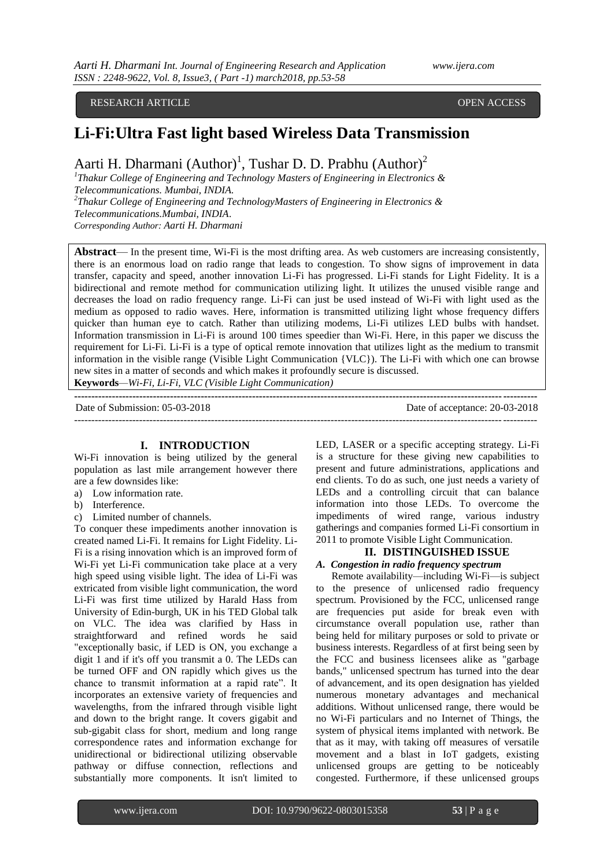RESEARCH ARTICLE **OPEN ACCESS** 

# **Li-Fi:Ultra Fast light based Wireless Data Transmission**

Aarti H. Dharmani (Author)<sup>1</sup>, Tushar D. D. Prabhu (Author)<sup>2</sup>

*1 Thakur College of Engineering and Technology Masters of Engineering in Electronics & Telecommunications. Mumbai, INDIA. 2 Thakur College of Engineering and TechnologyMasters of Engineering in Electronics &* 

*Telecommunications.Mumbai, INDIA*.

*Corresponding Author: Aarti H. Dharmani*

**Abstract**— In the present time, Wi-Fi is the most drifting area. As web customers are increasing consistently, there is an enormous load on radio range that leads to congestion. To show signs of improvement in data transfer, capacity and speed, another innovation Li-Fi has progressed. Li-Fi stands for Light Fidelity. It is a bidirectional and remote method for communication utilizing light. It utilizes the unused visible range and decreases the load on radio frequency range. Li-Fi can just be used instead of Wi-Fi with light used as the medium as opposed to radio waves. Here, information is transmitted utilizing light whose frequency differs quicker than human eye to catch. Rather than utilizing modems, Li-Fi utilizes LED bulbs with handset. Information transmission in Li-Fi is around 100 times speedier than Wi-Fi. Here, in this paper we discuss the requirement for Li-Fi. Li-Fi is a type of optical remote innovation that utilizes light as the medium to transmit information in the visible range (Visible Light Communication {VLC}). The Li-Fi with which one can browse new sites in a matter of seconds and which makes it profoundly secure is discussed. **Keywords***—Wi-Fi, Li-Fi, VLC (Visible Light Communication)*

**---------------------------------------------------------------------------------------------------------------------------------------**

Date of Submission: 05-03-2018 Date of acceptance: 20-03-2018 ---------------------------------------------------------------------------------------------------------------------------------------

# **I. INTRODUCTION**

Wi-Fi innovation is being utilized by the general population as last mile arrangement however there are a few downsides like:

- a) Low information rate.
- b) Interference.
- c) Limited number of channels.

To conquer these impediments another innovation is created named Li-Fi. It remains for Light Fidelity. Li-Fi is a rising innovation which is an improved form of Wi-Fi yet Li-Fi communication take place at a very high speed using visible light. The idea of Li-Fi was extricated from visible light communication, the word Li-Fi was first time utilized by Harald Hass from University of Edin-burgh, UK in his TED Global talk on VLC. The idea was clarified by Hass in straightforward and refined words he said "exceptionally basic, if LED is ON, you exchange a digit 1 and if it's off you transmit a 0. The LEDs can be turned OFF and ON rapidly which gives us the chance to transmit information at a rapid rate". It incorporates an extensive variety of frequencies and wavelengths, from the infrared through visible light and down to the bright range. It covers gigabit and sub-gigabit class for short, medium and long range correspondence rates and information exchange for unidirectional or bidirectional utilizing observable pathway or diffuse connection, reflections and substantially more components. It isn't limited to

LED, LASER or a specific accepting strategy. Li-Fi is a structure for these giving new capabilities to present and future administrations, applications and end clients. To do as such, one just needs a variety of LEDs and a controlling circuit that can balance information into those LEDs. To overcome the impediments of wired range, various industry gatherings and companies formed Li-Fi consortium in 2011 to promote Visible Light Communication.

# **II. DISTINGUISHED ISSUE**

## *A. Congestion in radio frequency spectrum*

 Remote availability—including Wi-Fi—is subject to the presence of unlicensed radio frequency spectrum. Provisioned by the FCC, unlicensed range are frequencies put aside for break even with circumstance overall population use, rather than being held for military purposes or sold to private or business interests. Regardless of at first being seen by the FCC and business licensees alike as "garbage bands," unlicensed spectrum has turned into the dear of advancement, and its open designation has yielded numerous monetary advantages and mechanical additions. Without unlicensed range, there would be no Wi-Fi particulars and no Internet of Things, the system of physical items implanted with network. Be that as it may, with taking off measures of versatile movement and a blast in IoT gadgets, existing unlicensed groups are getting to be noticeably congested. Furthermore, if these unlicensed groups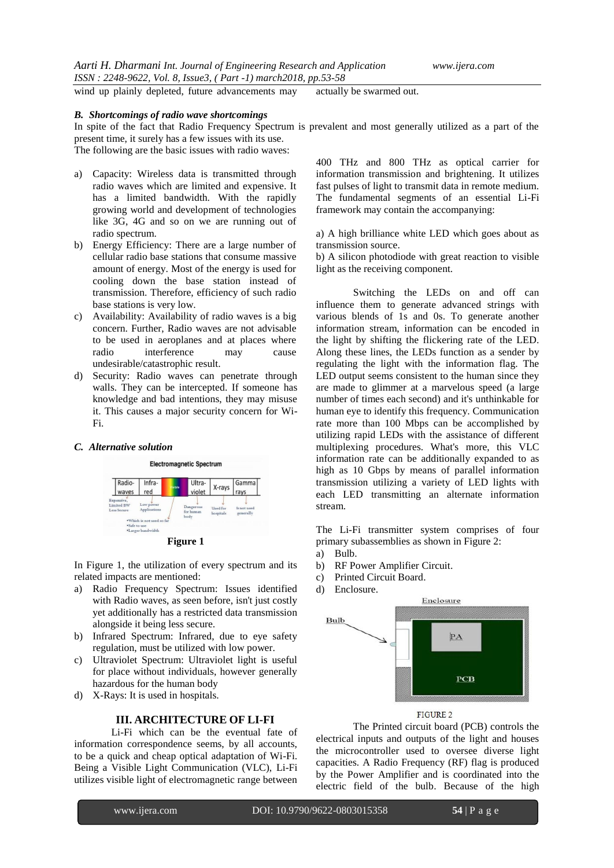wind up plainly depleted, future advancements may actually be swarmed out.

## *B. Shortcomings of radio wave shortcomings*

In spite of the fact that Radio Frequency Spectrum is prevalent and most generally utilized as a part of the present time, it surely has a few issues with its use.

The following are the basic issues with radio waves:

- a) Capacity: Wireless data is transmitted through radio waves which are limited and expensive. It has a limited bandwidth. With the rapidly growing world and development of technologies like 3G, 4G and so on we are running out of radio spectrum.
- b) Energy Efficiency: There are a large number of cellular radio base stations that consume massive amount of energy. Most of the energy is used for cooling down the base station instead of transmission. Therefore, efficiency of such radio base stations is very low.
- c) Availability: Availability of radio waves is a big concern. Further, Radio waves are not advisable to be used in aeroplanes and at places where radio interference may cause undesirable/catastrophic result.
- d) Security: Radio waves can penetrate through walls. They can be intercepted. If someone has knowledge and bad intentions, they may misuse it. This causes a major security concern for Wi-Fi.

### *C. Alternative solution*





In Figure 1, the utilization of every spectrum and its related impacts are mentioned:

- a) Radio Frequency Spectrum: Issues identified with Radio waves, as seen before, isn't just costly yet additionally has a restricted data transmission alongside it being less secure.
- b) Infrared Spectrum: Infrared, due to eye safety regulation, must be utilized with low power.
- c) Ultraviolet Spectrum: Ultraviolet light is useful for place without individuals, however generally hazardous for the human body
- d) X-Rays: It is used in hospitals.

# **III. ARCHITECTURE OF LI-FI**

Li-Fi which can be the eventual fate of information correspondence seems, by all accounts, to be a quick and cheap optical adaptation of Wi-Fi. Being a Visible Light Communication (VLC), Li-Fi utilizes visible light of electromagnetic range between

400 THz and 800 THz as optical carrier for information transmission and brightening. It utilizes fast pulses of light to transmit data in remote medium. The fundamental segments of an essential Li-Fi framework may contain the accompanying:

a) A high brilliance white LED which goes about as transmission source.

b) A silicon photodiode with great reaction to visible light as the receiving component.

Switching the LEDs on and off can influence them to generate advanced strings with various blends of 1s and 0s. To generate another information stream, information can be encoded in the light by shifting the flickering rate of the LED. Along these lines, the LEDs function as a sender by regulating the light with the information flag. The LED output seems consistent to the human since they are made to glimmer at a marvelous speed (a large number of times each second) and it's unthinkable for human eye to identify this frequency. Communication rate more than 100 Mbps can be accomplished by utilizing rapid LEDs with the assistance of different multiplexing procedures. What's more, this VLC information rate can be additionally expanded to as high as 10 Gbps by means of parallel information transmission utilizing a variety of LED lights with each LED transmitting an alternate information stream.

The Li-Fi transmitter system comprises of four primary subassemblies as shown in Figure 2:

- a) Bulb.
- b) RF Power Amplifier Circuit.
- c) Printed Circuit Board.
- d) Enclosure.



## FIGURE 2

The Printed circuit board (PCB) controls the electrical inputs and outputs of the light and houses the microcontroller used to oversee diverse light capacities. A Radio Frequency (RF) flag is produced by the Power Amplifier and is coordinated into the electric field of the bulb. Because of the high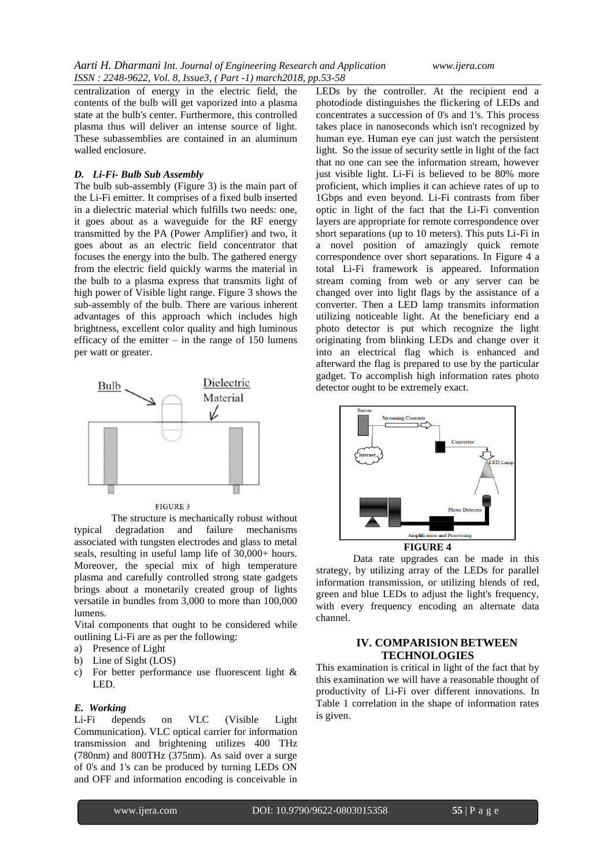centralization of energy in the electric field, the contents of the bulb will get vaporized into a plasma state at the bulb's center. Furthermore, this controlled plasma thus will deliver an intense source of light. These subassemblies are contained in an aluminum walled enclosure.

## *D. Li-Fi- Bulb Sub Assembly*

The bulb sub-assembly (Figure 3) is the main part of the Li-Fi emitter. It comprises of a fixed bulb inserted in a dielectric material which fulfills two needs: one, it goes about as a waveguide for the RF energy transmitted by the PA (Power Amplifier) and two, it goes about as an electric field concentrator that focuses the energy into the bulb. The gathered energy from the electric field quickly warms the material in the bulb to a plasma express that transmits light of high power of Visible light range. Figure 3 shows the sub-assembly of the bulb. There are various inherent advantages of this approach which includes high brightness, excellent color quality and high luminous efficacy of the emitter  $-$  in the range of 150 lumens per watt or greater.



FIGURE 3

The structure is mechanically robust without typical degradation and failure mechanisms associated with tungsten electrodes and glass to metal seals, resulting in useful lamp life of 30,000+ hours. Moreover, the special mix of high temperature plasma and carefully controlled strong state gadgets brings about a monetarily created group of lights versatile in bundles from 3,000 to more than 100,000 lumens.

Vital components that ought to be considered while outlining Li-Fi are as per the following:

- a) Presence of Light
- b) Line of Sight (LOS)
- c) For better performance use fluorescent light & LED.

#### *E. Working*

Li-Fi depends on VLC (Visible Light Communication). VLC optical carrier for information transmission and brightening utilizes 400 THz (780nm) and 800THz (375nm). As said over a surge of 0's and 1's can be produced by turning LEDs ON and OFF and information encoding is conceivable in

LEDs by the controller. At the recipient end a photodiode distinguishes the flickering of LEDs and concentrates a succession of 0's and 1's. This process takes place in nanoseconds which isn't recognized by human eye. Human eye can just watch the persistent light. So the issue of security settle in light of the fact that no one can see the information stream, however just visible light. Li-Fi is believed to be 80% more proficient, which implies it can achieve rates of up to 1Gbps and even beyond. Li-Fi contrasts from fiber optic in light of the fact that the Li-Fi convention layers are appropriate for remote correspondence over short separations (up to 10 meters). This puts Li-Fi in a novel position of amazingly quick remote correspondence over short separations. In Figure 4 a total Li-Fi framework is appeared. Information stream coming from web or any server can be changed over into light flags by the assistance of a converter. Then a LED lamp transmits information utilizing noticeable light. At the beneficiary end a photo detector is put which recognize the light originating from blinking LEDs and change over it into an electrical flag which is enhanced and afterward the flag is prepared to use by the particular gadget. To accomplish high information rates photo detector ought to be extremely exact.



Data rate upgrades can be made in this strategy, by utilizing array of the LEDs for parallel information transmission, or utilizing blends of red, green and blue LEDs to adjust the light's frequency, with every frequency encoding an alternate data channel.

# **IV. COMPARISION BETWEEN TECHNOLOGIES**

This examination is critical in light of the fact that by this examination we will have a reasonable thought of productivity of Li-Fi over different innovations. In Table 1 correlation in the shape of information rates is given.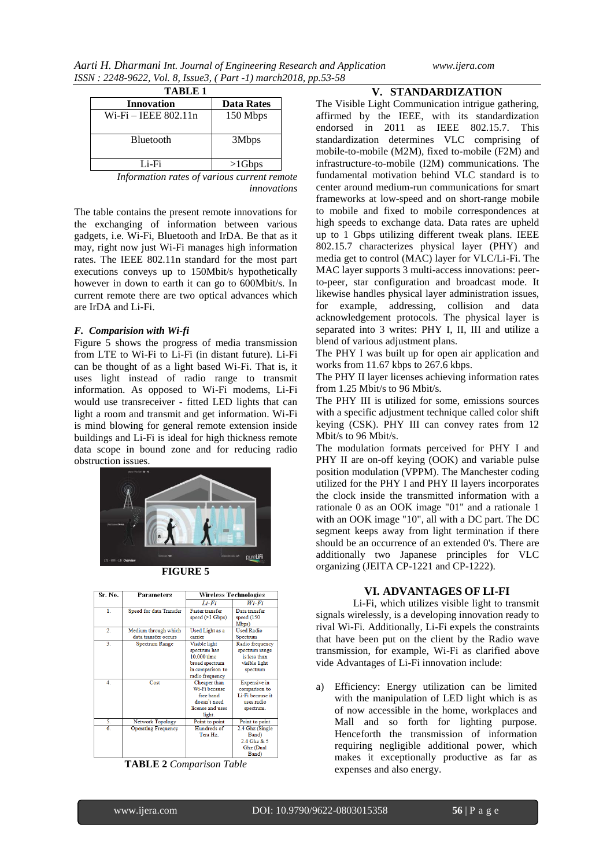|  | www.ijera.com |
|--|---------------|
|  |               |

| <b>TABLE 1</b>       |                   |  |  |  |
|----------------------|-------------------|--|--|--|
| <b>Innovation</b>    | <b>Data Rates</b> |  |  |  |
| Wi-Fi – IEEE 802.11n | 150 Mbps          |  |  |  |
| <b>Bluetooth</b>     | 3Mbps             |  |  |  |
| Li-Fi                | $>1$ Gbps         |  |  |  |

*Information rates of various current remote innovations*

The table contains the present remote innovations for the exchanging of information between various gadgets, i.e. Wi-Fi, Bluetooth and IrDA. Be that as it may, right now just Wi-Fi manages high information rates. The IEEE 802.11n standard for the most part executions conveys up to 150Mbit/s hypothetically however in down to earth it can go to 600Mbit/s. In current remote there are two optical advances which are IrDA and Li-Fi.

## *F. Comparision with Wi-fi*

Figure 5 shows the progress of media transmission from LTE to Wi-Fi to Li-Fi (in distant future). Li-Fi can be thought of as a light based Wi-Fi. That is, it uses light instead of radio range to transmit information. As opposed to Wi-Fi modems, Li-Fi would use transreceiver - fitted LED lights that can light a room and transmit and get information. Wi-Fi is mind blowing for general remote extension inside buildings and Li-Fi is ideal for high thickness remote data scope in bound zone and for reducing radio obstruction issues.



**FIGURE 5**

| Sr. No.          | Parameters                                   | Wireless Technologies                                                                                 |                                                                                   |
|------------------|----------------------------------------------|-------------------------------------------------------------------------------------------------------|-----------------------------------------------------------------------------------|
|                  |                                              | Li-Fi                                                                                                 | Wi-Fi                                                                             |
| $\mathbf{1}$ .   | Speed for data Transfer                      | <b>Faster transfer</b><br>speed (>1 Gbps)                                                             | Data transfer<br>speed (150<br>Mbps)                                              |
| $\overline{2}$ . | Medium through which<br>data transfer occurs | Used Light as a<br>carrier                                                                            | <b>Used Radio</b><br>Spectrum                                                     |
| 3.               | <b>Spectrum Range</b>                        | Visible light<br>spectrum has<br>10.000 time<br>broad spectrum<br>in comparison to<br>radio frequency | Radio frequency<br>spectrum range<br>is less than<br>visible light<br>spectrum    |
| 4.               | Cost                                         | Cheaper than<br>Wi-Fi because<br>free band<br>doesn't need<br>license and uses<br>light.              | Expensive in<br>comparison to<br>Li-Fi because it<br>uses radio<br>spectrum.      |
| 5.               | Network Topology                             | Point to point                                                                                        | Point to point                                                                    |
| 6.               | <b>Operating Frequency</b>                   | Hundreds of<br>Tera Hz.                                                                               | 2.4 Ghz (Single<br>Band)<br>2.4 Ghz & 5<br>Ghz (Dual<br>$\mathbf{r}$ $\mathbf{r}$ |



# **V. STANDARDIZATION**

The Visible Light Communication intrigue gathering, affirmed by the IEEE, with its standardization endorsed in 2011 as IEEE 802.15.7. This standardization determines VLC comprising of mobile-to-mobile (M2M), fixed to-mobile (F2M) and infrastructure-to-mobile (I2M) communications. The fundamental motivation behind VLC standard is to center around medium-run communications for smart frameworks at low-speed and on short-range mobile to mobile and fixed to mobile correspondences at high speeds to exchange data. Data rates are upheld up to 1 Gbps utilizing different tweak plans. IEEE 802.15.7 characterizes physical layer (PHY) and media get to control (MAC) layer for VLC/Li-Fi. The MAC layer supports 3 multi-access innovations: peerto-peer, star configuration and broadcast mode. It likewise handles physical layer administration issues, for example, addressing, collision and data acknowledgement protocols. The physical layer is separated into 3 writes: PHY I, II, III and utilize a blend of various adjustment plans.

The PHY I was built up for open air application and works from 11.67 kbps to 267.6 kbps.

The PHY II layer licenses achieving information rates from 1.25 Mbit/s to 96 Mbit/s.

The PHY III is utilized for some, emissions sources with a specific adjustment technique called color shift keying (CSK). PHY III can convey rates from 12 Mbit/s to 96 Mbit/s.

The modulation formats perceived for PHY I and PHY II are on-off keying (OOK) and variable pulse position modulation (VPPM). The Manchester coding utilized for the PHY I and PHY II layers incorporates the clock inside the transmitted information with a rationale 0 as an OOK image "01" and a rationale 1 with an OOK image "10", all with a DC part. The DC segment keeps away from light termination if there should be an occurrence of an extended 0's. There are additionally two Japanese principles for VLC organizing (JEITA CP-1221 and CP-1222).

## **VI. ADVANTAGES OF LI-FI**

Li-Fi, which utilizes visible light to transmit signals wirelessly, is a developing innovation ready to rival Wi-Fi. Additionally, Li-Fi expels the constraints that have been put on the client by the Radio wave transmission, for example, Wi-Fi as clarified above vide Advantages of Li-Fi innovation include:

a) Efficiency: Energy utilization can be limited with the manipulation of LED light which is as of now accessible in the home, workplaces and Mall and so forth for lighting purpose. Henceforth the transmission of information requiring negligible additional power, which makes it exceptionally productive as far as expenses and also energy.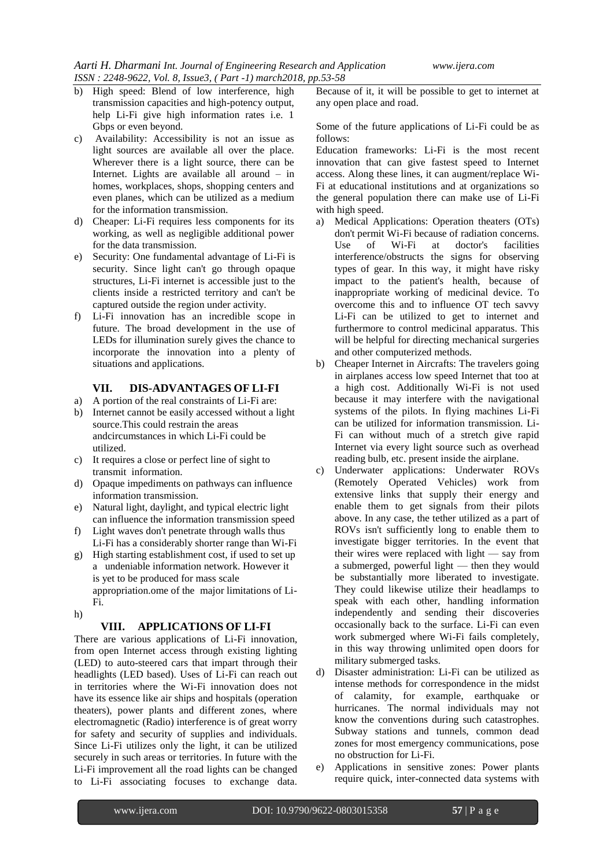- b) High speed: Blend of low interference, high transmission capacities and high-potency output, help Li-Fi give high information rates i.e. 1 Gbps or even beyond.
- c) Availability: Accessibility is not an issue as light sources are available all over the place. Wherever there is a light source, there can be Internet. Lights are available all around – in homes, workplaces, shops, shopping centers and even planes, which can be utilized as a medium for the information transmission.
- d) Cheaper: Li-Fi requires less components for its working, as well as negligible additional power for the data transmission.
- e) Security: One fundamental advantage of Li-Fi is security. Since light can't go through opaque structures, Li-Fi internet is accessible just to the clients inside a restricted territory and can't be captured outside the region under activity.
- f) Li-Fi innovation has an incredible scope in future. The broad development in the use of LEDs for illumination surely gives the chance to incorporate the innovation into a plenty of situations and applications.

# **VII. DIS-ADVANTAGES OF LI-FI**

- a) A portion of the real constraints of Li-Fi are:
- b) Internet cannot be easily accessed without a light source.This could restrain the areas andcircumstances in which Li-Fi could be utilized.
- c) It requires a close or perfect line of sight to transmit information.
- d) Opaque impediments on pathways can influence information transmission.
- e) Natural light, daylight, and typical electric light can influence the information transmission speed
- f) Light waves don't penetrate through walls thus Li-Fi has a considerably shorter range than Wi-Fi
- g) High starting establishment cost, if used to set up a undeniable information network. However it is yet to be produced for mass scale appropriation.ome of the major limitations of Li-
- Fi. h)

# **VIII. APPLICATIONS OF LI-FI**

There are various applications of Li-Fi innovation, from open Internet access through existing lighting (LED) to auto-steered cars that impart through their headlights (LED based). Uses of Li-Fi can reach out in territories where the Wi-Fi innovation does not have its essence like air ships and hospitals (operation theaters), power plants and different zones, where electromagnetic (Radio) interference is of great worry for safety and security of supplies and individuals. Since Li-Fi utilizes only the light, it can be utilized securely in such areas or territories. In future with the Li-Fi improvement all the road lights can be changed to Li-Fi associating focuses to exchange data.

Because of it, it will be possible to get to internet at any open place and road.

Some of the future applications of Li-Fi could be as follows:

Education frameworks: Li-Fi is the most recent innovation that can give fastest speed to Internet access. Along these lines, it can augment/replace Wi-Fi at educational institutions and at organizations so the general population there can make use of Li-Fi with high speed.

- a) Medical Applications: Operation theaters (OTs) don't permit Wi-Fi because of radiation concerns. Use of Wi-Fi at doctor's facilities interference/obstructs the signs for observing types of gear. In this way, it might have risky impact to the patient's health, because of inappropriate working of medicinal device. To overcome this and to influence OT tech savvy Li-Fi can be utilized to get to internet and furthermore to control medicinal apparatus. This will be helpful for directing mechanical surgeries and other computerized methods.
- b) Cheaper Internet in Aircrafts: The travelers going in airplanes access low speed Internet that too at a high cost. Additionally Wi-Fi is not used because it may interfere with the navigational systems of the pilots. In flying machines Li-Fi can be utilized for information transmission. Li-Fi can without much of a stretch give rapid Internet via every light source such as overhead reading bulb, etc. present inside the airplane.
- c) Underwater applications: Underwater ROVs (Remotely Operated Vehicles) work from extensive links that supply their energy and enable them to get signals from their pilots above. In any case, the tether utilized as a part of ROVs isn't sufficiently long to enable them to investigate bigger territories. In the event that their wires were replaced with light — say from a submerged, powerful light — then they would be substantially more liberated to investigate. They could likewise utilize their headlamps to speak with each other, handling information independently and sending their discoveries occasionally back to the surface. Li-Fi can even work submerged where Wi-Fi fails completely, in this way throwing unlimited open doors for military submerged tasks.
- d) Disaster administration: Li-Fi can be utilized as intense methods for correspondence in the midst of calamity, for example, earthquake or hurricanes. The normal individuals may not know the conventions during such catastrophes. Subway stations and tunnels, common dead zones for most emergency communications, pose no obstruction for Li-Fi.
- e) Applications in sensitive zones: Power plants require quick, inter-connected data systems with